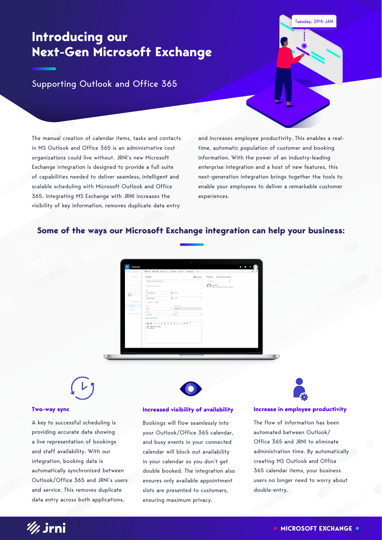## **Introducing our Next-Gen Microsoft Exchange**

#### Tuesday, 29th JAN

Supporting Outlook and Office 365

The manual creation of calendar items, tasks and contacts in MS Outlook and Office 365 is an administrative cost organizations could live without. JRNI's new Microsoft Exchange integration is designed to provide a full suite of capabilities needed to deliver seamless, intelligent and scalable scheduling with Microsoft Outlook and Office 365. Integrating MS Exchange with JRNI increases the visibility of key information, removes duplicate data entry

and increases employee productivity. This enables a realtime, automatic population of customer and booking information. With the power of an industry-leading enterprise integration and a host of new features, this next-generation integration brings together the tools to enable your employees to deliver a remarkable customer experiences.

#### **Some of the ways our Microsoft Exchange integration can help your business:**



#### **Two-way sync**

A key to successful scheduling is providing accurate data showing a live representation of bookings and staff availability. With our integration, booking data is automatically synchronized between Outlook/Office 365 and JRNI's users and service. This removes duplicate data entry across both applications.



**Increased visibility of availability**

Bookings will flow seamlessly into your Outlook/Office 365 calendar, and busy events in your connected calendar will block out availability in your calendar so you don't get double booked. The integration also ensures only available appointment slots are presented to customers, ensuring maximum privacy.

#### **Increase in employee productivity**

The flow of information has been automated between Outlook/ Office 365 and JRNI to eliminate administration time. By automatically creating MS Outlook and Office 365 calendar items, your business users no longer need to worry about double-entry.

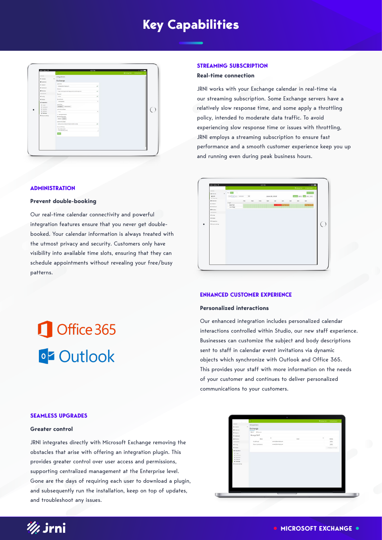## **Key Capabilities**

| <b>El Cabargo Sed e M. Parent Corner e</b><br>popoval.<br>Integrations<br><b>El Généer</b><br>$\ddot{}$<br>Exchange<br>W Gotteney<br>Vorrane<br>C Oskin<br>desauphonographe<br>$\checkmark$<br><sup>1</sup> Pachboard<br><b>Entaniet</b><br><b>W</b> Hanboro<br>https://exhangels.baskingbug.net/exa/antherge.asms<br>$\checkmark$<br>computerior.<br><b>Password</b><br>$\checkmark$<br>of caste<br><b>STATE</b><br>Server Version<br>of nation.<br>٠<br>Exchange2016<br><b>CC</b> integrations<br>Access Type<br>W. Logger<br>Debugdan I Impersonation<br># Neifaston<br># Salesbron<br>Verify SS, Certificate<br>W. Valitasi:<br>٠<br><b>Nore</b><br><b>A</b> Exhange<br>D Sedupatronards<br><b>C</b> . Associatings<br>Entimentes engine<br>Default Liquid<br>Gottom EPS subject<br>[Sisten/center] with [Sistenwidestand]<br>$\checkmark$<br>Guitary Elli body<br>Date (Shriday)<br>Time (blat.) at time) | HOW BELL T | 421 PM | 8 100% |
|----------------------------------------------------------------------------------------------------------------------------------------------------------------------------------------------------------------------------------------------------------------------------------------------------------------------------------------------------------------------------------------------------------------------------------------------------------------------------------------------------------------------------------------------------------------------------------------------------------------------------------------------------------------------------------------------------------------------------------------------------------------------------------------------------------------------------------------------------------------------------------------------------------------|------------|--------|--------|
|                                                                                                                                                                                                                                                                                                                                                                                                                                                                                                                                                                                                                                                                                                                                                                                                                                                                                                                |            |        |        |
|                                                                                                                                                                                                                                                                                                                                                                                                                                                                                                                                                                                                                                                                                                                                                                                                                                                                                                                |            |        |        |
|                                                                                                                                                                                                                                                                                                                                                                                                                                                                                                                                                                                                                                                                                                                                                                                                                                                                                                                |            |        |        |
|                                                                                                                                                                                                                                                                                                                                                                                                                                                                                                                                                                                                                                                                                                                                                                                                                                                                                                                |            |        |        |
|                                                                                                                                                                                                                                                                                                                                                                                                                                                                                                                                                                                                                                                                                                                                                                                                                                                                                                                |            |        |        |
|                                                                                                                                                                                                                                                                                                                                                                                                                                                                                                                                                                                                                                                                                                                                                                                                                                                                                                                |            |        |        |
|                                                                                                                                                                                                                                                                                                                                                                                                                                                                                                                                                                                                                                                                                                                                                                                                                                                                                                                |            |        |        |
|                                                                                                                                                                                                                                                                                                                                                                                                                                                                                                                                                                                                                                                                                                                                                                                                                                                                                                                |            |        |        |
|                                                                                                                                                                                                                                                                                                                                                                                                                                                                                                                                                                                                                                                                                                                                                                                                                                                                                                                |            |        |        |
|                                                                                                                                                                                                                                                                                                                                                                                                                                                                                                                                                                                                                                                                                                                                                                                                                                                                                                                |            |        |        |
|                                                                                                                                                                                                                                                                                                                                                                                                                                                                                                                                                                                                                                                                                                                                                                                                                                                                                                                |            |        |        |
|                                                                                                                                                                                                                                                                                                                                                                                                                                                                                                                                                                                                                                                                                                                                                                                                                                                                                                                |            |        |        |
|                                                                                                                                                                                                                                                                                                                                                                                                                                                                                                                                                                                                                                                                                                                                                                                                                                                                                                                |            |        |        |
|                                                                                                                                                                                                                                                                                                                                                                                                                                                                                                                                                                                                                                                                                                                                                                                                                                                                                                                |            |        |        |
|                                                                                                                                                                                                                                                                                                                                                                                                                                                                                                                                                                                                                                                                                                                                                                                                                                                                                                                |            |        |        |
|                                                                                                                                                                                                                                                                                                                                                                                                                                                                                                                                                                                                                                                                                                                                                                                                                                                                                                                |            |        |        |
|                                                                                                                                                                                                                                                                                                                                                                                                                                                                                                                                                                                                                                                                                                                                                                                                                                                                                                                |            |        |        |
|                                                                                                                                                                                                                                                                                                                                                                                                                                                                                                                                                                                                                                                                                                                                                                                                                                                                                                                |            |        |        |
|                                                                                                                                                                                                                                                                                                                                                                                                                                                                                                                                                                                                                                                                                                                                                                                                                                                                                                                |            |        |        |
|                                                                                                                                                                                                                                                                                                                                                                                                                                                                                                                                                                                                                                                                                                                                                                                                                                                                                                                |            |        |        |
|                                                                                                                                                                                                                                                                                                                                                                                                                                                                                                                                                                                                                                                                                                                                                                                                                                                                                                                |            |        |        |
|                                                                                                                                                                                                                                                                                                                                                                                                                                                                                                                                                                                                                                                                                                                                                                                                                                                                                                                |            |        |        |
|                                                                                                                                                                                                                                                                                                                                                                                                                                                                                                                                                                                                                                                                                                                                                                                                                                                                                                                |            |        |        |
|                                                                                                                                                                                                                                                                                                                                                                                                                                                                                                                                                                                                                                                                                                                                                                                                                                                                                                                |            |        |        |

#### **ADMINISTRATION**

#### **Prevent double-booking**

Our real-time calendar connectivity and powerful integration features ensure that you never get doublebooked. Your calendar information is always treated with the utmost privacy and security. Customers only have visibility into available time slots, ensuring that they can schedule appointments without revealing your free/busy patterns.

#### **STREAMING SUBSCRIPTION**

#### **Real-time connection**

JRNI works with your Exchange calendar in real-time via our streaming subscription. Some Exchange servers have a relatively slow response time, and some apply a throttling policy, intended to moderate data traffic. To avoid experiencing slow response time or issues with throttling, JRNI employs a streaming subscription to ensure fast performance and a smooth customer experience keep you up and running even during peak business hours.



#### **ENHANCED CUSTOMER EXPERIENCE**

#### **Personalized interactions**

Our enhanced integration includes personalized calendar interactions controlled within Studio, our new staff experience. Businesses can customize the subject and body descriptions sent to staff in calendar event invitations via dynamic objects which synchronize with Outlook and Office 365. This provides your staff with more information on the needs of your customer and continues to deliver personalized communications to your customers.

# Office 365 **o'z Outlook**

#### **SEAMLESS UPGRADES**

#### **Greater control**

JRNI integrates directly with Microsoft Exchange removing the obstacles that arise with offering an integration plugin. This provides greater control over user access and permissions, supporting centralized management at the Enterprise level. Gone are the days of requiring each user to download a plugin, and subsequently run the installation, keep on top of updates, and troubleshoot any issues.



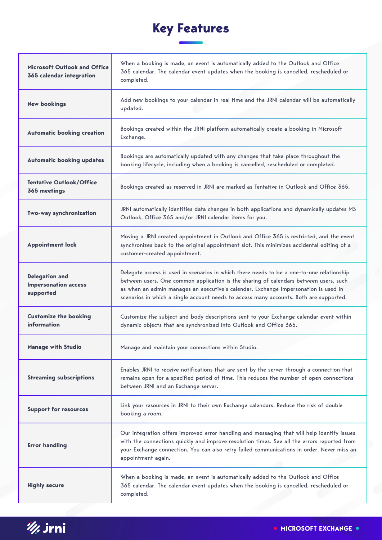# **Key Features**

| Microsoft Outlook and Office<br>365 calendar integration          | When a booking is made, an event is automatically added to the Outlook and Office<br>365 calendar. The calendar event updates when the booking is cancelled, rescheduled or<br>completed.                                                                                                                                                                           |
|-------------------------------------------------------------------|---------------------------------------------------------------------------------------------------------------------------------------------------------------------------------------------------------------------------------------------------------------------------------------------------------------------------------------------------------------------|
| <b>New bookings</b>                                               | Add new bookings to your calendar in real time and the JRNI calendar will be automatically<br>updated.                                                                                                                                                                                                                                                              |
| <b>Automatic booking creation</b>                                 | Bookings created within the JRNI platform automatically create a booking in Microsoft<br>Exchange.                                                                                                                                                                                                                                                                  |
| <b>Automatic booking updates</b>                                  | Bookings are automatically updated with any changes that take place throughout the<br>booking lifecycle, including when a booking is cancelled, rescheduled or completed.                                                                                                                                                                                           |
| <b>Tentative Outlook/Office</b><br>365 meetings                   | Bookings created as reserved in JRNI are marked as Tentative in Outlook and Office 365.                                                                                                                                                                                                                                                                             |
| Two-way synchronization                                           | JRNI automatically identifies data changes in both applications and dynamically updates MS<br>Outlook, Office 365 and/or JRNI calendar items for you.                                                                                                                                                                                                               |
| <b>Appointment lock</b>                                           | Moving a JRNI created appointment in Outlook and Office 365 is restricted, and the event<br>synchronizes back to the original appointment slot. This minimizes accidental editing of a<br>customer-created appointment.                                                                                                                                             |
| <b>Delegation and</b><br><b>Impersonation access</b><br>supported | Delegate access is used in scenarios in which there needs to be a one-to-one relationship<br>between users. One common application is the sharing of calendars between users, such<br>as when an admin manages an executive's calendar. Exchange Impersonation is used in<br>scenarios in which a single account needs to access many accounts. Both are supported. |
| <b>Customize the booking</b><br>information                       | Customize the subject and body descriptions sent to your Exchange calendar event within<br>dynamic objects that are synchronized into Outlook and Office 365.                                                                                                                                                                                                       |
| <b>Manage with Studio</b>                                         | Manage and maintain your connections within Studio.                                                                                                                                                                                                                                                                                                                 |
| <b>Streaming subscriptions</b>                                    | Enables JRNI to receive notifications that are sent by the server through a connection that<br>remains open for a specified period of time. This reduces the number of open connections<br>between JRNI and an Exchange server.                                                                                                                                     |
| <b>Support for resources</b>                                      | Link your resources in JRNI to their own Exchange calendars. Reduce the risk of double<br>booking a room.                                                                                                                                                                                                                                                           |
| <b>Error handling</b>                                             | Our integration offers improved error handling and messaging that will help identify issues<br>with the connections quickly and improve resolution times. See all the errors reported from<br>your Exchange connection. You can also retry failed communications in order. Never miss an<br>appointment again.                                                      |
| <b>Highly secure</b>                                              | When a booking is made, an event is automatically added to the Outlook and Office<br>365 calendar. The calendar event updates when the booking is cancelled, rescheduled or<br>completed.                                                                                                                                                                           |